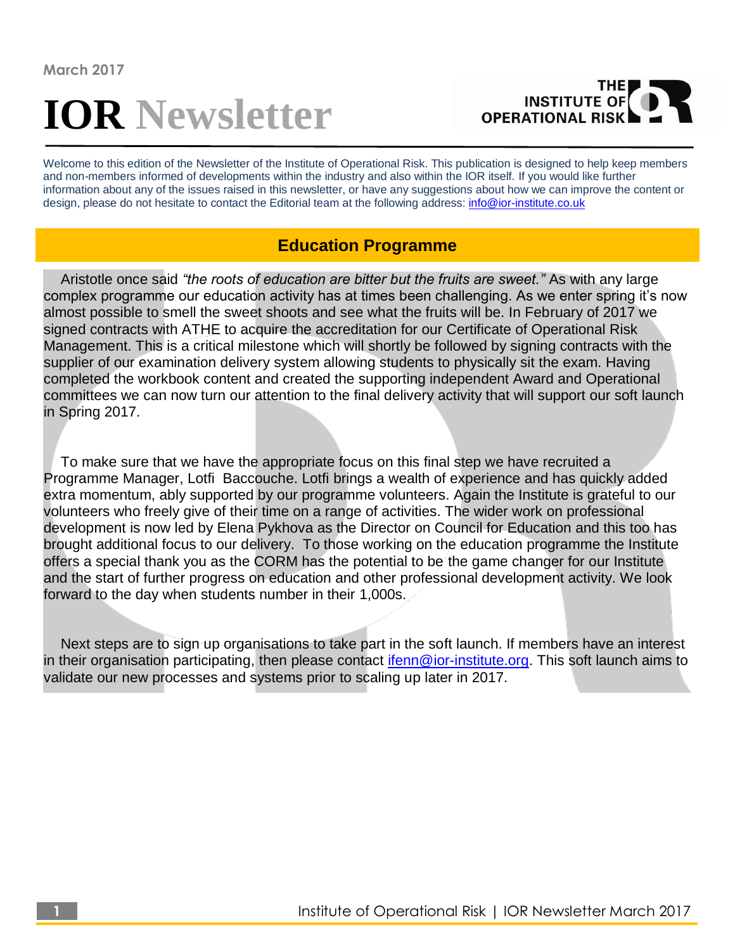# **IOR Newsletter**



Welcome to this edition of the Newsletter of the Institute of Operational Risk. This publication is designed to help keep members and non-members informed of developments within the industry and also within the IOR itself. If you would like further information about any of the issues raised in this newsletter, or have any suggestions about how we can improve the content or design, please do not hesitate to contact the Editorial team at the following address: [info@ior-institute.co.uk](mailto:info@ior-institute.co.uk)

## **Education Programme**

Aristotle once said *"the roots of education are bitter but the fruits are sweet."* As with any large complex programme our education activity has at times been challenging. As we enter spring it's now almost possible to smell the sweet shoots and see what the fruits will be. In February of 2017 we signed contracts with ATHE to acquire the accreditation for our Certificate of Operational Risk Management. This is a critical milestone which will shortly be followed by signing contracts with the supplier of our examination delivery system allowing students to physically sit the exam. Having completed the workbook content and created the supporting independent Award and Operational committees we can now turn our attention to the final delivery activity that will support our soft launch in Spring 2017.

To make sure that we have the appropriate focus on this final step we have recruited a Programme Manager, Lotfi Baccouche. Lotfi brings a wealth of experience and has quickly added extra momentum, ably supported by our programme volunteers. Again the Institute is grateful to our volunteers who freely give of their time on a range of activities. The wider work on professional development is now led by Elena Pykhova as the Director on Council for Education and this too has brought additional focus to our delivery. To those working on the education programme the Institute offers a special thank you as the CORM has the potential to be the game changer for our Institute and the start of further progress on education and other professional development activity. We look forward to the day when students number in their 1,000s.

Next steps are to sign up organisations to take part in the soft launch. If members have an interest in their organisation participating, then please contact [ifenn@ior-institute.org.](mailto:ifenn@ior-institute.org) This soft launch aims to validate our new processes and systems prior to scaling up later in 2017.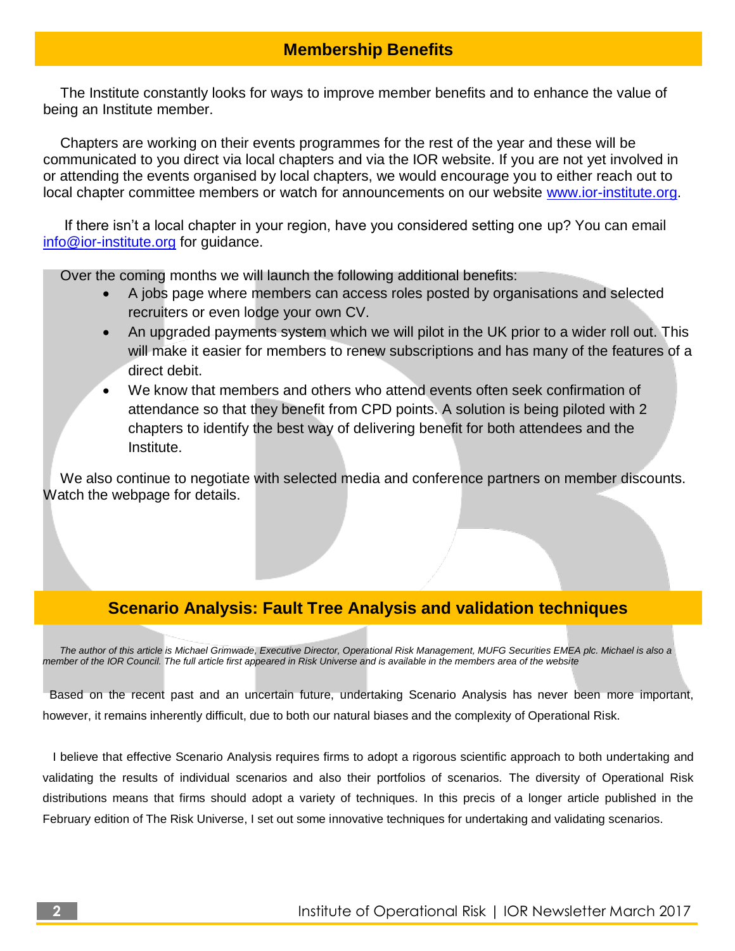## **Membership Benefits**

The Institute constantly looks for ways to improve member benefits and to enhance the value of being an Institute member.

Chapters are working on their events programmes for the rest of the year and these will be communicated to you direct via local chapters and via the IOR website. If you are not yet involved in or attending the events organised by local chapters, we would encourage you to either reach out to local chapter committee members or watch for announcements on our website [www.ior-institute.org.](http://www.ior-institute.org/)

If there isn't a local chapter in your region, have you considered setting one up? You can email [info@ior-institute.org](mailto:info@ior-institute.org) for guidance.

Over the coming months we will launch the following additional benefits:

- A jobs page where members can access roles posted by organisations and selected recruiters or even lodge your own CV.
- An upgraded payments system which we will pilot in the UK prior to a wider roll out. This will make it easier for members to renew subscriptions and has many of the features of a direct debit.
- We know that members and others who attend events often seek confirmation of attendance so that they benefit from CPD points. A solution is being piloted with 2 chapters to identify the best way of delivering benefit for both attendees and the Institute.

We also continue to negotiate with selected media and conference partners on member discounts. Watch the webpage for details.

## **Scenario Analysis: Fault Tree Analysis and validation techniques**

*The author of this article is Michael Grimwade, Executive Director, Operational Risk Management, MUFG Securities EMEA plc. Michael is also a member of the IOR Council. The full article first appeared in Risk Universe and is available in the members area of the website*

Based on the recent past and an uncertain future, undertaking Scenario Analysis has never been more important, however, it remains inherently difficult, due to both our natural biases and the complexity of Operational Risk.

 I believe that effective Scenario Analysis requires firms to adopt a rigorous scientific approach to both undertaking and validating the results of individual scenarios and also their portfolios of scenarios. The diversity of Operational Risk distributions means that firms should adopt a variety of techniques. In this precis of a longer article published in the February edition of The Risk Universe, I set out some innovative techniques for undertaking and validating scenarios.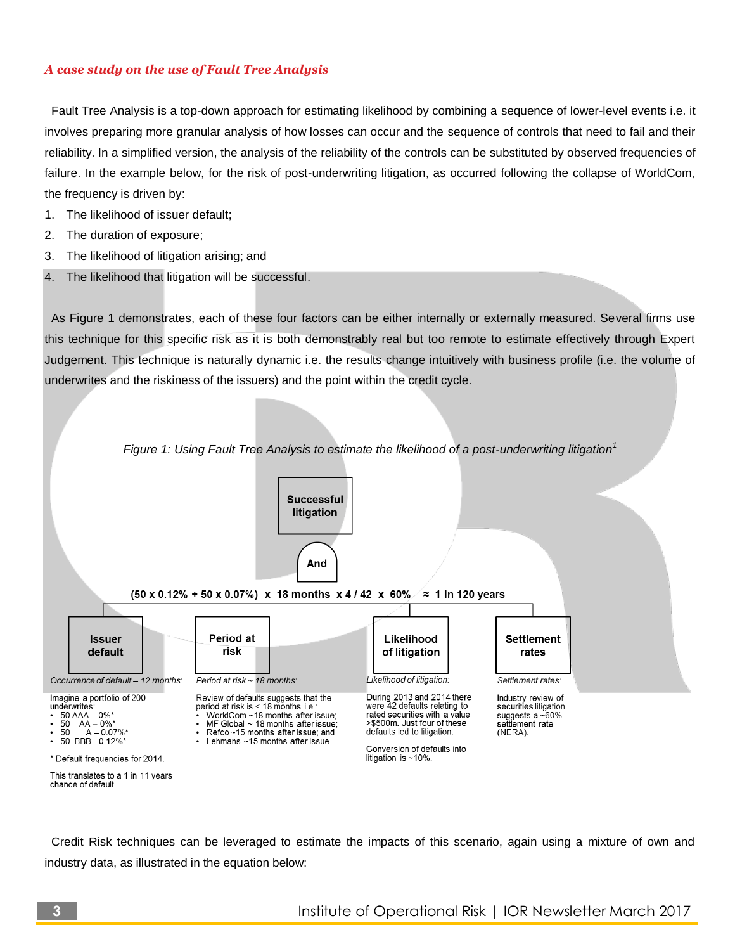#### *A case study on the use of Fault Tree Analysis*

 Fault Tree Analysis is a top-down approach for estimating likelihood by combining a sequence of lower-level events i.e. it involves preparing more granular analysis of how losses can occur and the sequence of controls that need to fail and their reliability. In a simplified version, the analysis of the reliability of the controls can be substituted by observed frequencies of failure. In the example below, for the risk of post-underwriting litigation, as occurred following the collapse of WorldCom, the frequency is driven by:

- 1. The likelihood of issuer default;
- 2. The duration of exposure;
- 3. The likelihood of litigation arising; and
- 4. The likelihood that litigation will be successful.

 As Figure 1 demonstrates, each of these four factors can be either internally or externally measured. Several firms use this technique for this specific risk as it is both demonstrably real but too remote to estimate effectively through Expert Judgement. This technique is naturally dynamic i.e. the results change intuitively with business profile (i.e. the volume of underwrites and the riskiness of the issuers) and the point within the credit cycle.



 Credit Risk techniques can be leveraged to estimate the impacts of this scenario, again using a mixture of own and industry data, as illustrated in the equation below: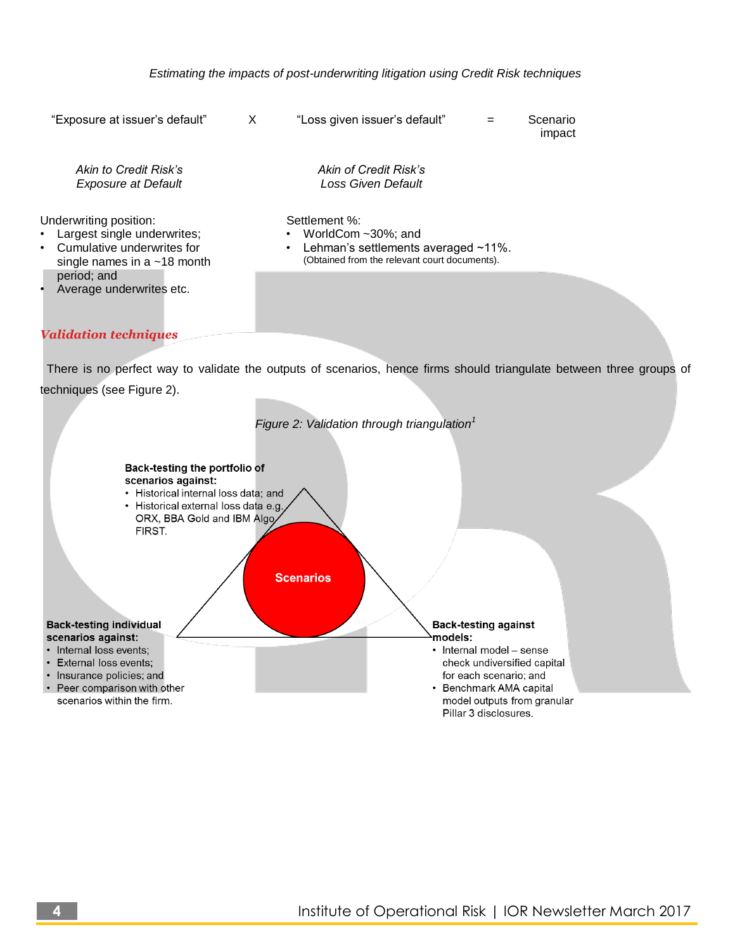

#### *Validation techniques*

 There is no perfect way to validate the outputs of scenarios, hence firms should triangulate between three groups of techniques (see Figure 2).

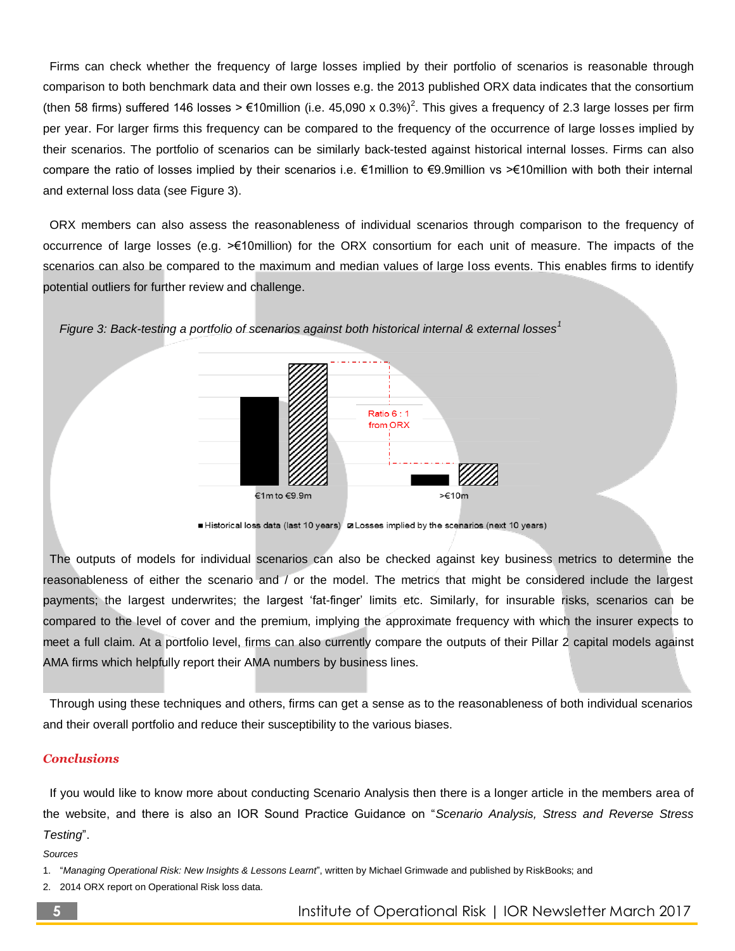Firms can check whether the frequency of large losses implied by their portfolio of scenarios is reasonable through comparison to both benchmark data and their own losses e.g. the 2013 published ORX data indicates that the consortium (then 58 firms) suffered 146 losses > €10million (i.e. 45,090 x 0.3%)<sup>2</sup>. This gives a frequency of 2.3 large losses per firm per year. For larger firms this frequency can be compared to the frequency of the occurrence of large losses implied by their scenarios. The portfolio of scenarios can be similarly back-tested against historical internal losses. Firms can also compare the ratio of losses implied by their scenarios i.e. €1million to €9.9million vs >€10million with both their internal and external loss data (see Figure 3).

 ORX members can also assess the reasonableness of individual scenarios through comparison to the frequency of occurrence of large losses (e.g. >€10million) for the ORX consortium for each unit of measure. The impacts of the scenarios can also be compared to the maximum and median values of large loss events. This enables firms to identify potential outliers for further review and challenge.



*Figure 3: Back-testing a portfolio of scenarios against both historical internal & external losses<sup>1</sup>*

Historical loss data (last 10 years) a Losses implied by the scenarios (next 10 years)

 The outputs of models for individual scenarios can also be checked against key business metrics to determine the reasonableness of either the scenario and / or the model. The metrics that might be considered include the largest payments; the largest underwrites; the largest 'fat-finger' limits etc. Similarly, for insurable risks, scenarios can be compared to the level of cover and the premium, implying the approximate frequency with which the insurer expects to meet a full claim. At a portfolio level, firms can also currently compare the outputs of their Pillar 2 capital models against AMA firms which helpfully report their AMA numbers by business lines.

 Through using these techniques and others, firms can get a sense as to the reasonableness of both individual scenarios and their overall portfolio and reduce their susceptibility to the various biases.

#### *Conclusions*

 If you would like to know more about conducting Scenario Analysis then there is a longer article in the members area of the website, and there is also an IOR Sound Practice Guidance on "*Scenario Analysis, Stress and Reverse Stress Testing*".

*Sources*

- 1. "*Managing Operational Risk: New Insights & Lessons Learnt*", written by Michael Grimwade and published by RiskBooks; and
- 2014 ORX report on Operational Risk loss data.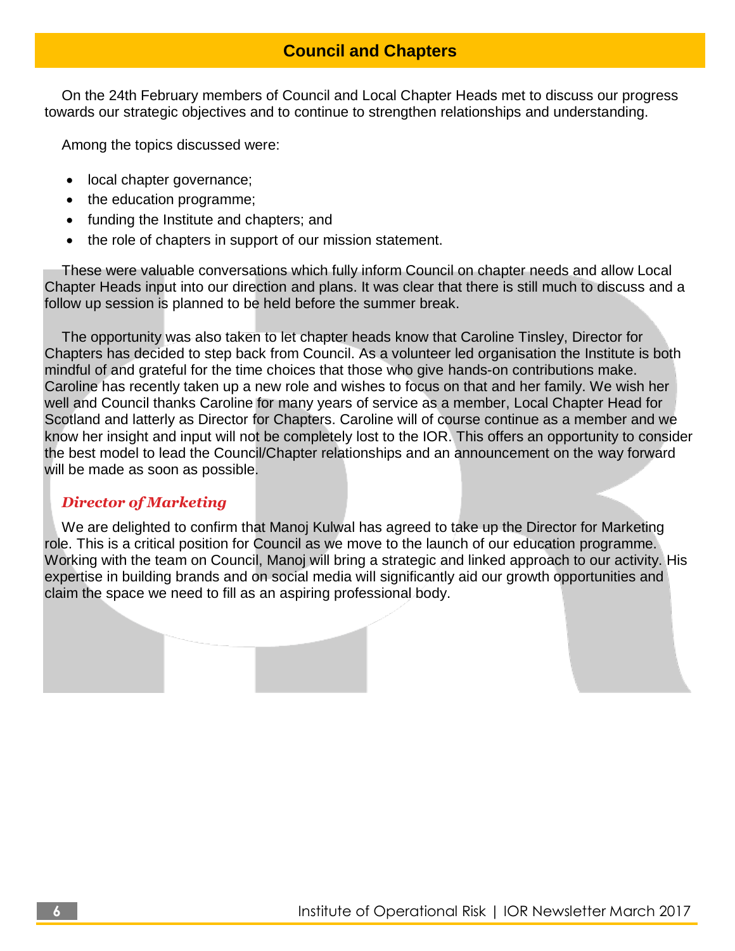# **Council and Chapters**

On the 24th February members of Council and Local Chapter Heads met to discuss our progress towards our strategic objectives and to continue to strengthen relationships and understanding.

Among the topics discussed were:

- local chapter governance;
- the education programme;
- funding the Institute and chapters; and
- the role of chapters in support of our mission statement.

These were valuable conversations which fully inform Council on chapter needs and allow Local Chapter Heads input into our direction and plans. It was clear that there is still much to discuss and a follow up session is planned to be held before the summer break.

The opportunity was also taken to let chapter heads know that Caroline Tinsley, Director for Chapters has decided to step back from Council. As a volunteer led organisation the Institute is both mindful of and grateful for the time choices that those who give hands-on contributions make. Caroline has recently taken up a new role and wishes to focus on that and her family. We wish her well and Council thanks Caroline for many years of service as a member, Local Chapter Head for Scotland and latterly as Director for Chapters. Caroline will of course continue as a member and we know her insight and input will not be completely lost to the IOR. This offers an opportunity to consider the best model to lead the Council/Chapter relationships and an announcement on the way forward will be made as soon as possible.

### *Director of Marketing*

We are delighted to confirm that Manoj Kulwal has agreed to take up the Director for Marketing role. This is a critical position for Council as we move to the launch of our education programme. Working with the team on Council, Manoj will bring a strategic and linked approach to our activity. His expertise in building brands and on social media will significantly aid our growth opportunities and claim the space we need to fill as an aspiring professional body.